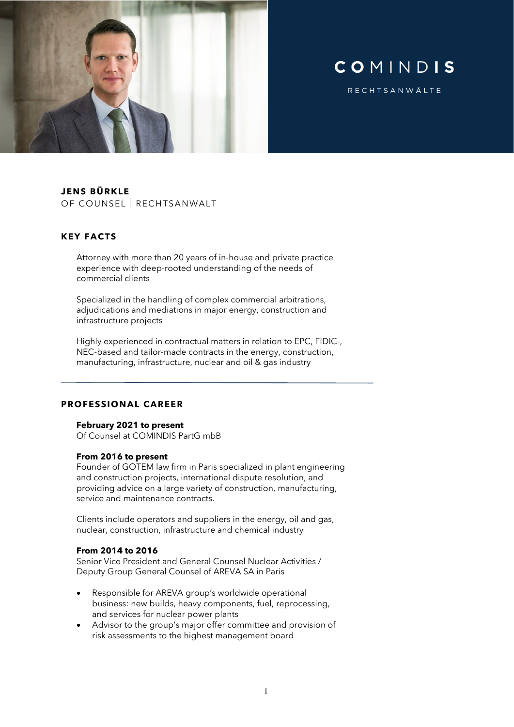

# COMINDIS

RECHTSANWÄLTE

# **JENS BÜRKLE**

OF COUNSEL RECHTSANWALT

### **KEY FACTS**

Attorney with more than 20 years of in-house and private practice experience with deep-rooted understanding of the needs of commercial clients

Specialized in the handling of complex commercial arbitrations, adjudications and mediations in major energy, construction and infrastructure projects

Highly experienced in contractual matters in relation to EPC, FIDIC-, NEC-based and tailor-made contracts in the energy, construction, manufacturing, infrastructure, nuclear and oil & gas industry

#### **PROFESSIONAL CAREER**

#### **February 2021 to present**

Of Counsel at COMINDIS PartG mbB

#### **From 2016 to present**

Founder of GOTEM law firm in Paris specialized in plant engineering and construction projects, international dispute resolution, and providing advice on a large variety of construction, manufacturing, service and maintenance contracts.

Clients include operators and suppliers in the energy, oil and gas, nuclear, construction, infrastructure and chemical industry

#### **From 2014 to 2016**

Senior Vice President and General Counsel Nuclear Activities / Deputy Group General Counsel of AREVA SA in Paris

- Responsible for AREVA group's worldwide operational business: new builds, heavy components, fuel, reprocessing, and services for nuclear power plants
- Advisor to the group's major offer committee and provision of risk assessments to the highest management board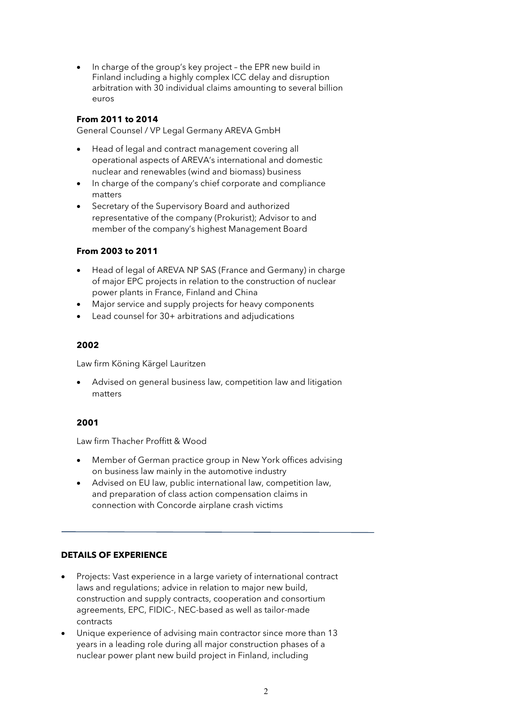• In charge of the group's key project – the EPR new build in Finland including a highly complex ICC delay and disruption arbitration with 30 individual claims amounting to several billion euros

### **From 2011 to 2014**

General Counsel / VP Legal Germany AREVA GmbH

- Head of legal and contract management covering all operational aspects of AREVA's international and domestic nuclear and renewables (wind and biomass) business
- In charge of the company's chief corporate and compliance matters
- Secretary of the Supervisory Board and authorized representative of the company (Prokurist); Advisor to and member of the company's highest Management Board

# **From 2003 to 2011**

- Head of legal of AREVA NP SAS (France and Germany) in charge of major EPC projects in relation to the construction of nuclear power plants in France, Finland and China
- Major service and supply projects for heavy components
- Lead counsel for 30+ arbitrations and adjudications

### **2002**

Law firm Köning Kärgel Lauritzen

• Advised on general business law, competition law and litigation matters

# **2001**

Law firm Thacher Proffitt & Wood

- Member of German practice group in New York offices advising on business law mainly in the automotive industry
- Advised on EU law, public international law, competition law, and preparation of class action compensation claims in connection with Concorde airplane crash victims

# **DETAILS OF EXPERIENCE**

- Projects: Vast experience in a large variety of international contract laws and regulations; advice in relation to major new build, construction and supply contracts, cooperation and consortium agreements, EPC, FIDIC-, NEC-based as well as tailor-made contracts
- Unique experience of advising main contractor since more than 13 years in a leading role during all major construction phases of a nuclear power plant new build project in Finland, including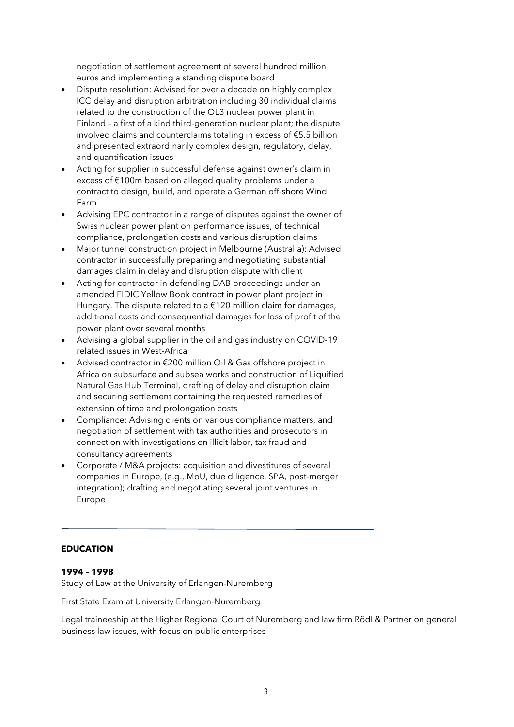negotiation of settlement agreement of several hundred million euros and implementing a standing dispute board

- Dispute resolution: Advised for over a decade on highly complex ICC delay and disruption arbitration including 30 individual claims related to the construction of the OL3 nuclear power plant in Finland – a first of a kind third-generation nuclear plant; the dispute involved claims and counterclaims totaling in excess of €5.5 billion and presented extraordinarily complex design, regulatory, delay, and quantification issues
- Acting for supplier in successful defense against owner's claim in excess of €100m based on alleged quality problems under a contract to design, build, and operate a German off-shore Wind Farm
- Advising EPC contractor in a range of disputes against the owner of Swiss nuclear power plant on performance issues, of technical compliance, prolongation costs and various disruption claims
- Major tunnel construction project in Melbourne (Australia): Advised contractor in successfully preparing and negotiating substantial damages claim in delay and disruption dispute with client
- Acting for contractor in defending DAB proceedings under an amended FIDIC Yellow Book contract in power plant project in Hungary. The dispute related to a  $£120$  million claim for damages, additional costs and consequential damages for loss of profit of the power plant over several months
- Advising a global supplier in the oil and gas industry on COVID-19 related issues in West-Africa
- Advised contractor in €200 million Oil & Gas offshore project in Africa on subsurface and subsea works and construction of Liquified Natural Gas Hub Terminal, drafting of delay and disruption claim and securing settlement containing the requested remedies of extension of time and prolongation costs
- Compliance: Advising clients on various compliance matters, and negotiation of settlement with tax authorities and prosecutors in connection with investigations on illicit labor, tax fraud and consultancy agreements
- Corporate / M&A projects: acquisition and divestitures of several companies in Europe, (e.g., MoU, due diligence, SPA, post-merger integration); drafting and negotiating several joint ventures in Europe

# **EDUCATION**

# **1994 – 1998**

Study of Law at the University of Erlangen-Nuremberg

First State Exam at University Erlangen-Nuremberg

Legal traineeship at the Higher Regional Court of Nuremberg and law firm Rödl & Partner on general business law issues, with focus on public enterprises